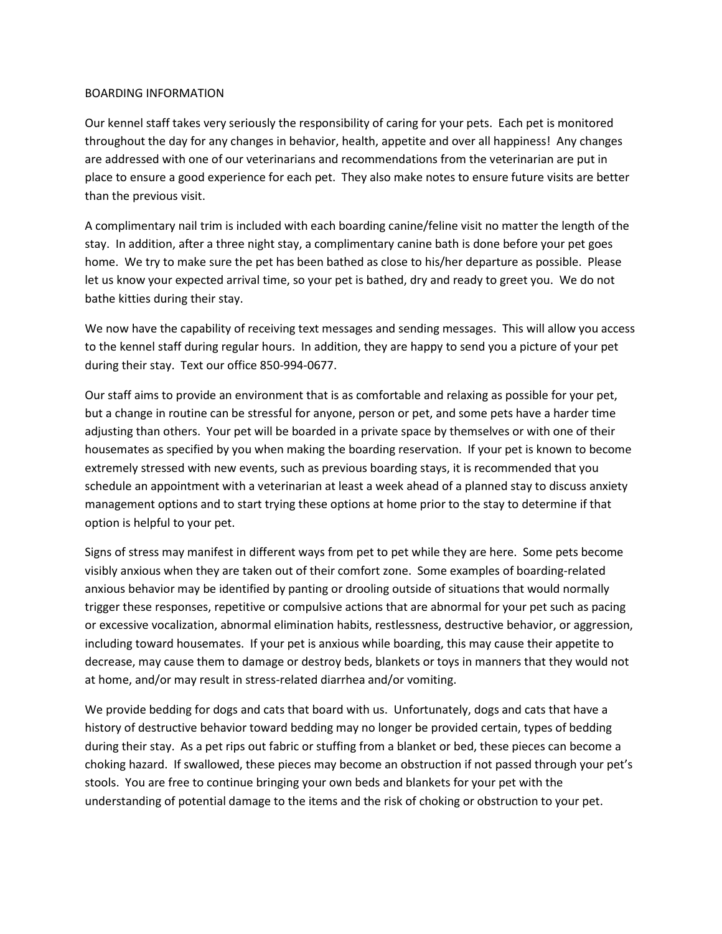## BOARDING INFORMATION

Our kennel staff takes very seriously the responsibility of caring for your pets. Each pet is monitored throughout the day for any changes in behavior, health, appetite and over all happiness! Any changes are addressed with one of our veterinarians and recommendations from the veterinarian are put in place to ensure a good experience for each pet. They also make notes to ensure future visits are better than the previous visit.

A complimentary nail trim is included with each boarding canine/feline visit no matter the length of the stay. In addition, after a three night stay, a complimentary canine bath is done before your pet goes home. We try to make sure the pet has been bathed as close to his/her departure as possible. Please let us know your expected arrival time, so your pet is bathed, dry and ready to greet you. We do not bathe kitties during their stay.

We now have the capability of receiving text messages and sending messages. This will allow you access to the kennel staff during regular hours. In addition, they are happy to send you a picture of your pet during their stay. Text our office 850-994-0677.

Our staff aims to provide an environment that is as comfortable and relaxing as possible for your pet, but a change in routine can be stressful for anyone, person or pet, and some pets have a harder time adjusting than others. Your pet will be boarded in a private space by themselves or with one of their housemates as specified by you when making the boarding reservation. If your pet is known to become extremely stressed with new events, such as previous boarding stays, it is recommended that you schedule an appointment with a veterinarian at least a week ahead of a planned stay to discuss anxiety management options and to start trying these options at home prior to the stay to determine if that option is helpful to your pet.

Signs of stress may manifest in different ways from pet to pet while they are here. Some pets become visibly anxious when they are taken out of their comfort zone. Some examples of boarding-related anxious behavior may be identified by panting or drooling outside of situations that would normally trigger these responses, repetitive or compulsive actions that are abnormal for your pet such as pacing or excessive vocalization, abnormal elimination habits, restlessness, destructive behavior, or aggression, including toward housemates. If your pet is anxious while boarding, this may cause their appetite to decrease, may cause them to damage or destroy beds, blankets or toys in manners that they would not at home, and/or may result in stress-related diarrhea and/or vomiting.

We provide bedding for dogs and cats that board with us. Unfortunately, dogs and cats that have a history of destructive behavior toward bedding may no longer be provided certain, types of bedding during their stay. As a pet rips out fabric or stuffing from a blanket or bed, these pieces can become a choking hazard. If swallowed, these pieces may become an obstruction if not passed through your pet's stools. You are free to continue bringing your own beds and blankets for your pet with the understanding of potential damage to the items and the risk of choking or obstruction to your pet.